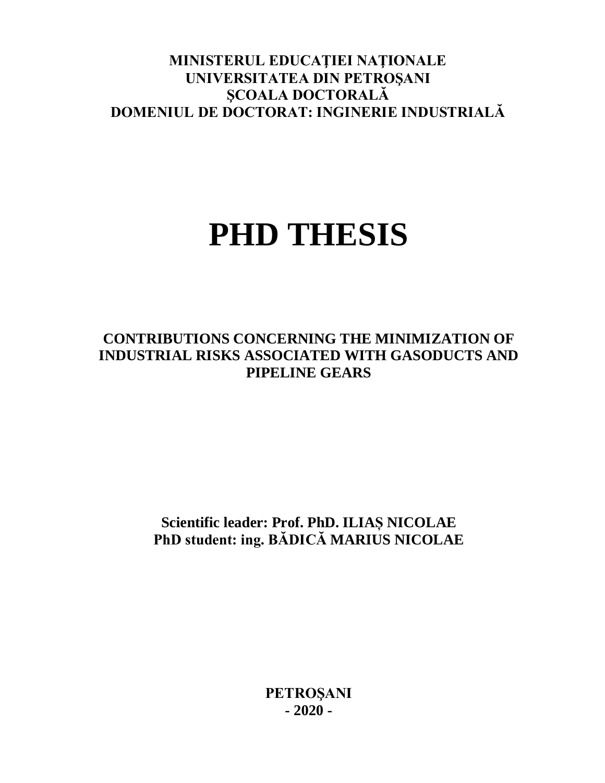# **MINISTERUL EDUCAŢIEI NAŢIONALE UNIVERSITATEA DIN PETROŞANI ŞCOALA DOCTORALĂ DOMENIUL DE DOCTORAT: INGINERIE INDUSTRIALĂ**

# **PHD THESIS**

# **CONTRIBUTIONS CONCERNING THE MINIMIZATION OF INDUSTRIAL RISKS ASSOCIATED WITH GASODUCTS AND PIPELINE GEARS**

**Scientific leader: Prof. PhD. ILIAȘ NICOLAE PhD student: ing. BĂDICĂ MARIUS NICOLAE**

> **PETROŞANI - 2020 -**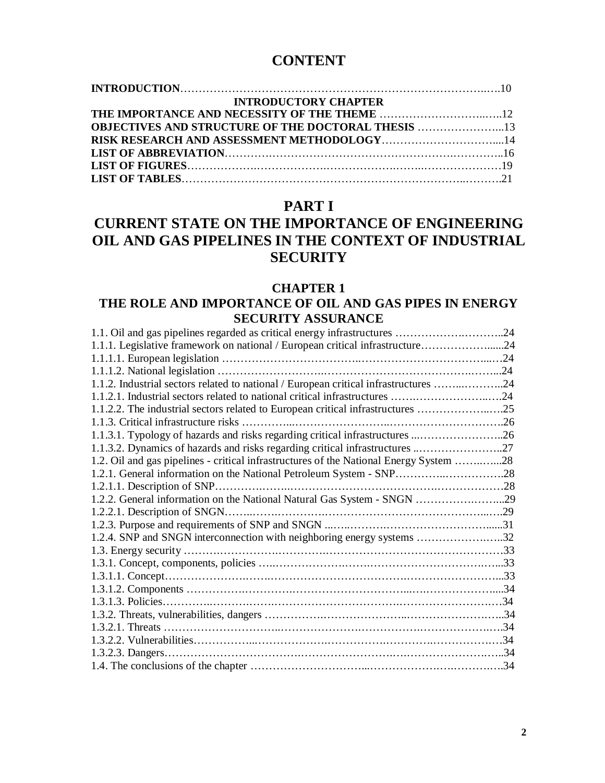# **CONTENT**

| <b>INTRODUCTORY CHAPTER</b>                               |  |
|-----------------------------------------------------------|--|
|                                                           |  |
| <b>OBJECTIVES AND STRUCTURE OF THE DOCTORAL THESIS 13</b> |  |
|                                                           |  |
|                                                           |  |
|                                                           |  |
|                                                           |  |
|                                                           |  |

## **PART I**

# **CURRENT STATE ON THE IMPORTANCE OF ENGINEERING OIL AND GAS PIPELINES IN THE CONTEXT OF INDUSTRIAL SECURITY**

#### **CHAPTER 1**

## **THE ROLE AND IMPORTANCE OF OIL AND GAS PIPES IN ENERGY SECURITY ASSURANCE**

| 1.1.1. Legislative framework on national / European critical infrastructure24          |  |
|----------------------------------------------------------------------------------------|--|
|                                                                                        |  |
|                                                                                        |  |
| 1.1.2. Industrial sectors related to national / European critical infrastructures 24   |  |
| 1.1.2.1. Industrial sectors related to national critical infrastructures 24            |  |
| 1.1.2.2. The industrial sectors related to European critical infrastructures 25        |  |
| 1.1.3. Critical infrastructure risks                                                   |  |
| 1.1.3.1. Typology of hazards and risks regarding critical infrastructures 26           |  |
| 1.1.3.2. Dynamics of hazards and risks regarding critical infrastructures 27           |  |
| 1.2. Oil and gas pipelines - critical infrastructures of the National Energy System 28 |  |
| 1.2.1. General information on the National Petroleum System - SNP28                    |  |
| 1.2.1.1. Description of SNP                                                            |  |
| 1.2.2. General information on the National Natural Gas System - SNGN 29                |  |
|                                                                                        |  |
|                                                                                        |  |
|                                                                                        |  |
|                                                                                        |  |
|                                                                                        |  |
|                                                                                        |  |
|                                                                                        |  |
|                                                                                        |  |
|                                                                                        |  |
|                                                                                        |  |
|                                                                                        |  |
|                                                                                        |  |
|                                                                                        |  |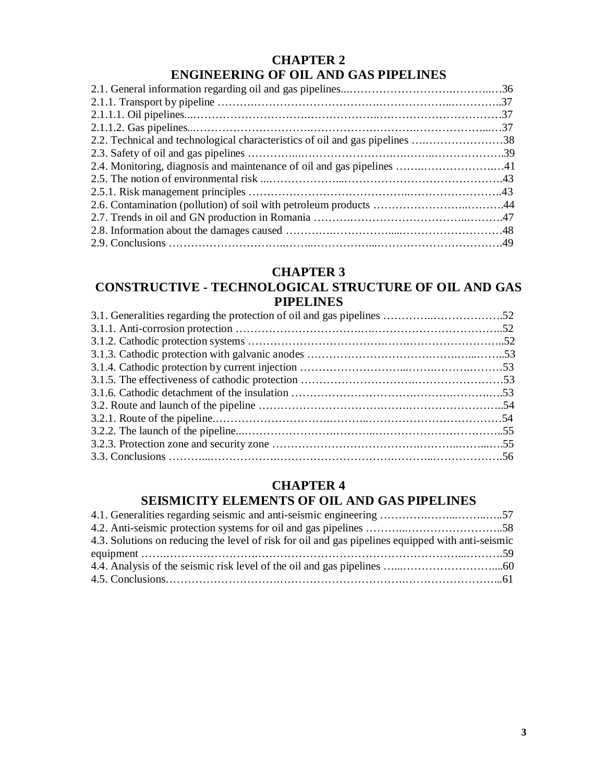## **CHAPTER 2 ENGINEERING OF OIL AND GAS PIPELINES**

| 2.2. Technical and technological characteristics of oil and gas pipelines 38 |  |
|------------------------------------------------------------------------------|--|
|                                                                              |  |
| 2.4. Monitoring, diagnosis and maintenance of oil and gas pipelines 41       |  |
|                                                                              |  |
|                                                                              |  |
|                                                                              |  |
|                                                                              |  |
|                                                                              |  |
|                                                                              |  |

## **CHAPTER 3**

## **CONSTRUCTIVE - TECHNOLOGICAL STRUCTURE OF OIL AND GAS PIPELINES**

## **CHAPTER 4 SEISMICITY ELEMENTS OF OIL AND GAS PIPELINES**

| 4.3. Solutions on reducing the level of risk for oil and gas pipelines equipped with anti-seismic |  |
|---------------------------------------------------------------------------------------------------|--|
|                                                                                                   |  |
|                                                                                                   |  |
|                                                                                                   |  |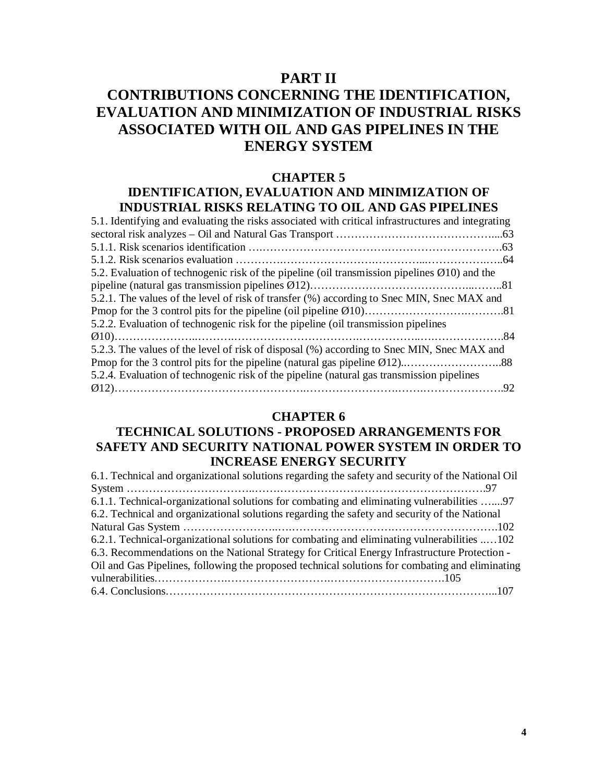## **PART II**

# **CONTRIBUTIONS CONCERNING THE IDENTIFICATION, EVALUATION AND MINIMIZATION OF INDUSTRIAL RISKS ASSOCIATED WITH OIL AND GAS PIPELINES IN THE ENERGY SYSTEM**

#### **CHAPTER 5**

## **IDENTIFICATION, EVALUATION AND MINIMIZATION OF INDUSTRIAL RISKS RELATING TO OIL AND GAS PIPELINES**

| 5.1. Identifying and evaluating the risks associated with critical infrastructures and integrating        |  |
|-----------------------------------------------------------------------------------------------------------|--|
|                                                                                                           |  |
|                                                                                                           |  |
|                                                                                                           |  |
| 5.2. Evaluation of technogenic risk of the pipeline (oil transmission pipelines $\varnothing$ 10) and the |  |
|                                                                                                           |  |
| 5.2.1. The values of the level of risk of transfer (%) according to Snec MIN, Snec MAX and                |  |
|                                                                                                           |  |
| 5.2.2. Evaluation of technogenic risk for the pipeline (oil transmission pipelines                        |  |
|                                                                                                           |  |
| 5.2.3. The values of the level of risk of disposal (%) according to Snec MIN, Snec MAX and                |  |
|                                                                                                           |  |
| 5.2.4. Evaluation of technogenic risk of the pipeline (natural gas transmission pipelines                 |  |
|                                                                                                           |  |

#### **CHAPTER 6**

## **TECHNICAL SOLUTIONS - PROPOSED ARRANGEMENTS FOR SAFETY AND SECURITY NATIONAL POWER SYSTEM IN ORDER TO INCREASE ENERGY SECURITY**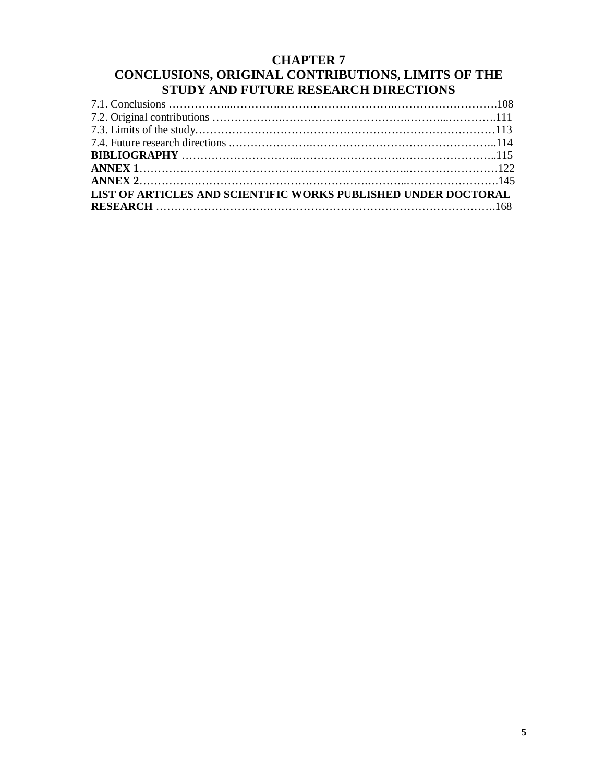## **CHAPTER 7 CONCLUSIONS, ORIGINAL CONTRIBUTIONS, LIMITS OF THE STUDY AND FUTURE RESEARCH DIRECTIONS**

| LIST OF ARTICLES AND SCIENTIFIC WORKS PUBLISHED UNDER DOCTORAL |  |
|----------------------------------------------------------------|--|
|                                                                |  |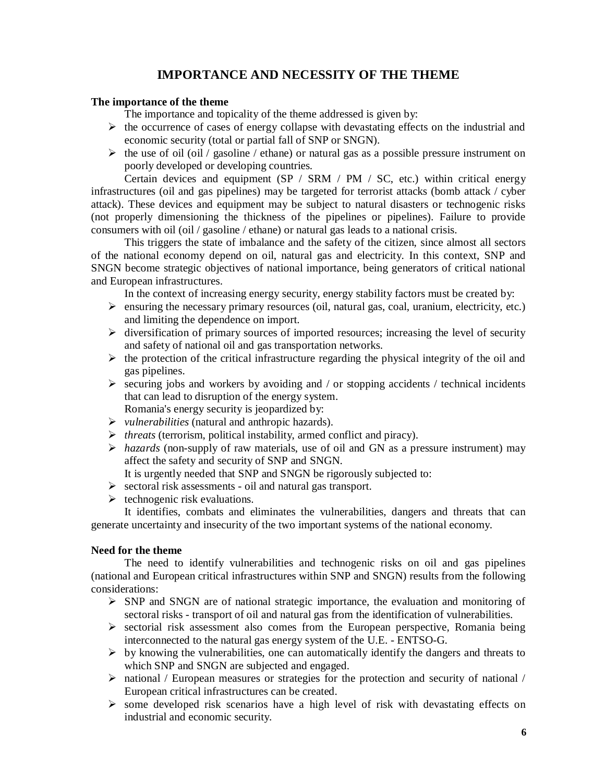## **IMPORTANCE AND NECESSITY OF THE THEME**

#### **The importance of the theme**

The importance and topicality of the theme addressed is given by:

- $\triangleright$  the occurrence of cases of energy collapse with devastating effects on the industrial and economic security (total or partial fall of SNP or SNGN).
- $\triangleright$  the use of oil (oil / gasoline / ethane) or natural gas as a possible pressure instrument on poorly developed or developing countries.

Certain devices and equipment (SP / SRM / PM / SC, etc.) within critical energy infrastructures (oil and gas pipelines) may be targeted for terrorist attacks (bomb attack / cyber attack). These devices and equipment may be subject to natural disasters or technogenic risks (not properly dimensioning the thickness of the pipelines or pipelines). Failure to provide consumers with oil (oil / gasoline / ethane) or natural gas leads to a national crisis.

This triggers the state of imbalance and the safety of the citizen, since almost all sectors of the national economy depend on oil, natural gas and electricity. In this context, SNP and SNGN become strategic objectives of national importance, being generators of critical national and European infrastructures.

In the context of increasing energy security, energy stability factors must be created by:

- $\triangleright$  ensuring the necessary primary resources (oil, natural gas, coal, uranium, electricity, etc.) and limiting the dependence on import.
- $\triangleright$  diversification of primary sources of imported resources; increasing the level of security and safety of national oil and gas transportation networks.
- $\triangleright$  the protection of the critical infrastructure regarding the physical integrity of the oil and gas pipelines.
- $\triangleright$  securing jobs and workers by avoiding and / or stopping accidents / technical incidents that can lead to disruption of the energy system. Romania's energy security is jeopardized by:
- 
- *vulnerabilities* (natural and anthropic hazards).
- *threats* (terrorism, political instability, armed conflict and piracy).
- *hazards* (non-supply of raw materials, use of oil and GN as a pressure instrument) may affect the safety and security of SNP and SNGN.
- It is urgently needed that SNP and SNGN be rigorously subjected to:
- $\triangleright$  sectoral risk assessments oil and natural gas transport.
- $\triangleright$  technogenic risk evaluations.

It identifies, combats and eliminates the vulnerabilities, dangers and threats that can generate uncertainty and insecurity of the two important systems of the national economy.

#### **Need for the theme**

The need to identify vulnerabilities and technogenic risks on oil and gas pipelines (national and European critical infrastructures within SNP and SNGN) results from the following considerations:

- $\triangleright$  SNP and SNGN are of national strategic importance, the evaluation and monitoring of sectoral risks - transport of oil and natural gas from the identification of vulnerabilities.
- $\triangleright$  sectorial risk assessment also comes from the European perspective, Romania being interconnected to the natural gas energy system of the U.E. - ENTSO-G.
- $\triangleright$  by knowing the vulnerabilities, one can automatically identify the dangers and threats to which SNP and SNGN are subjected and engaged.
- national / European measures or strategies for the protection and security of national / European critical infrastructures can be created.
- $\triangleright$  some developed risk scenarios have a high level of risk with devastating effects on industrial and economic security.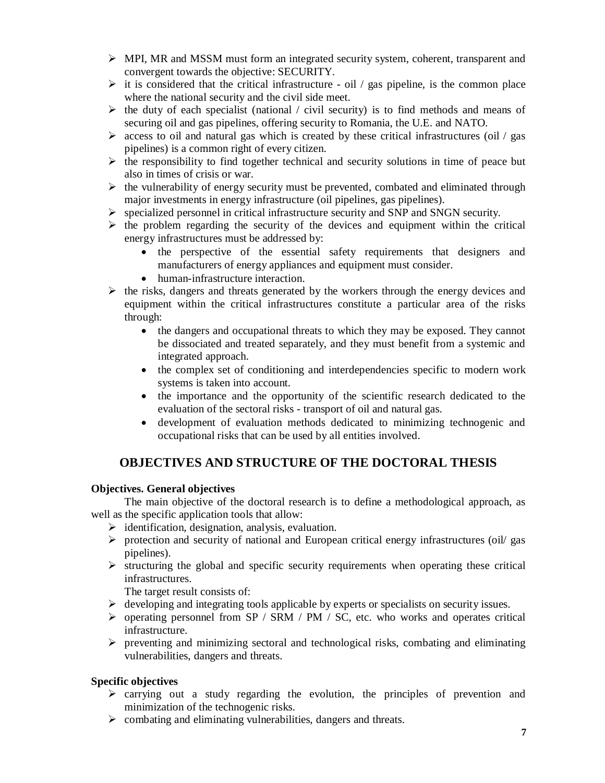- $\triangleright$  MPI, MR and MSSM must form an integrated security system, coherent, transparent and convergent towards the objective: SECURITY.
- $\triangleright$  it is considered that the critical infrastructure oil / gas pipeline, is the common place where the national security and the civil side meet.
- $\triangleright$  the duty of each specialist (national / civil security) is to find methods and means of securing oil and gas pipelines, offering security to Romania, the U.E. and NATO.
- $\triangleright$  access to oil and natural gas which is created by these critical infrastructures (oil / gas pipelines) is a common right of every citizen.
- $\triangleright$  the responsibility to find together technical and security solutions in time of peace but also in times of crisis or war.
- $\triangleright$  the vulnerability of energy security must be prevented, combated and eliminated through major investments in energy infrastructure (oil pipelines, gas pipelines).
- $\triangleright$  specialized personnel in critical infrastructure security and SNP and SNGN security.
- $\triangleright$  the problem regarding the security of the devices and equipment within the critical energy infrastructures must be addressed by:
	- the perspective of the essential safety requirements that designers and manufacturers of energy appliances and equipment must consider.
	- human-infrastructure interaction.
- $\triangleright$  the risks, dangers and threats generated by the workers through the energy devices and equipment within the critical infrastructures constitute a particular area of the risks through:
	- the dangers and occupational threats to which they may be exposed. They cannot be dissociated and treated separately, and they must benefit from a systemic and integrated approach.
	- the complex set of conditioning and interdependencies specific to modern work systems is taken into account.
	- the importance and the opportunity of the scientific research dedicated to the evaluation of the sectoral risks - transport of oil and natural gas.
	- development of evaluation methods dedicated to minimizing technogenic and occupational risks that can be used by all entities involved.

## **OBJECTIVES AND STRUCTURE OF THE DOCTORAL THESIS**

#### **Objectives. General objectives**

The main objective of the doctoral research is to define a methodological approach, as well as the specific application tools that allow:

- $\triangleright$  identification, designation, analysis, evaluation.
- $\triangleright$  protection and security of national and European critical energy infrastructures (oil) gas pipelines).
- $\triangleright$  structuring the global and specific security requirements when operating these critical infrastructures.

The target result consists of:

- $\triangleright$  developing and integrating tools applicable by experts or specialists on security issues.
- $\triangleright$  operating personnel from SP / SRM / PM / SC, etc. who works and operates critical infrastructure.
- $\triangleright$  preventing and minimizing sectoral and technological risks, combating and eliminating vulnerabilities, dangers and threats.

## **Specific objectives**

- $\triangleright$  carrying out a study regarding the evolution, the principles of prevention and minimization of the technogenic risks.
- $\triangleright$  combating and eliminating vulnerabilities, dangers and threats.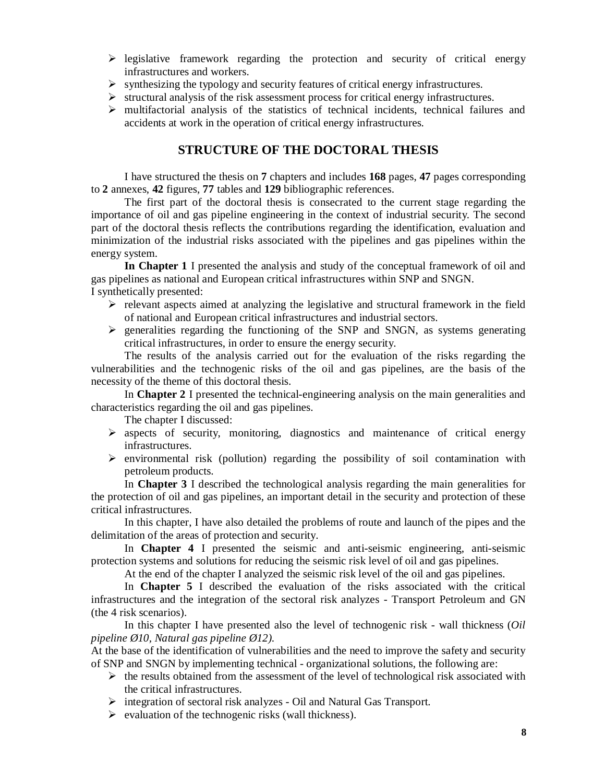- $\triangleright$  legislative framework regarding the protection and security of critical energy infrastructures and workers.
- $\triangleright$  synthesizing the typology and security features of critical energy infrastructures.
- $\triangleright$  structural analysis of the risk assessment process for critical energy infrastructures.
- $\triangleright$  multifactorial analysis of the statistics of technical incidents, technical failures and accidents at work in the operation of critical energy infrastructures.

#### **STRUCTURE OF THE DOCTORAL THESIS**

I have structured the thesis on **7** chapters and includes **168** pages, **47** pages corresponding to **2** annexes, **42** figures, **77** tables and **129** bibliographic references.

The first part of the doctoral thesis is consecrated to the current stage regarding the importance of oil and gas pipeline engineering in the context of industrial security. The second part of the doctoral thesis reflects the contributions regarding the identification, evaluation and minimization of the industrial risks associated with the pipelines and gas pipelines within the energy system.

**In Chapter 1** I presented the analysis and study of the conceptual framework of oil and gas pipelines as national and European critical infrastructures within SNP and SNGN. I synthetically presented:

- $\triangleright$  relevant aspects aimed at analyzing the legislative and structural framework in the field of national and European critical infrastructures and industrial sectors.
- $\triangleright$  generalities regarding the functioning of the SNP and SNGN, as systems generating critical infrastructures, in order to ensure the energy security.

The results of the analysis carried out for the evaluation of the risks regarding the vulnerabilities and the technogenic risks of the oil and gas pipelines, are the basis of the necessity of the theme of this doctoral thesis.

In **Chapter 2** I presented the technical-engineering analysis on the main generalities and characteristics regarding the oil and gas pipelines.

The chapter I discussed:

- $\triangleright$  aspects of security, monitoring, diagnostics and maintenance of critical energy infrastructures.
- $\triangleright$  environmental risk (pollution) regarding the possibility of soil contamination with petroleum products.

In **Chapter 3** I described the technological analysis regarding the main generalities for the protection of oil and gas pipelines, an important detail in the security and protection of these critical infrastructures.

In this chapter, I have also detailed the problems of route and launch of the pipes and the delimitation of the areas of protection and security.

In **Chapter 4** I presented the seismic and anti-seismic engineering, anti-seismic protection systems and solutions for reducing the seismic risk level of oil and gas pipelines.

At the end of the chapter I analyzed the seismic risk level of the oil and gas pipelines.

In **Chapter 5** I described the evaluation of the risks associated with the critical infrastructures and the integration of the sectoral risk analyzes - Transport Petroleum and GN (the 4 risk scenarios).

In this chapter I have presented also the level of technogenic risk - wall thickness (*Oil pipeline Ø10, Natural gas pipeline Ø12).*

At the base of the identification of vulnerabilities and the need to improve the safety and security of SNP and SNGN by implementing technical - organizational solutions, the following are:

- $\triangleright$  the results obtained from the assessment of the level of technological risk associated with the critical infrastructures.
- $\triangleright$  integration of sectoral risk analyzes Oil and Natural Gas Transport.
- $\triangleright$  evaluation of the technogenic risks (wall thickness).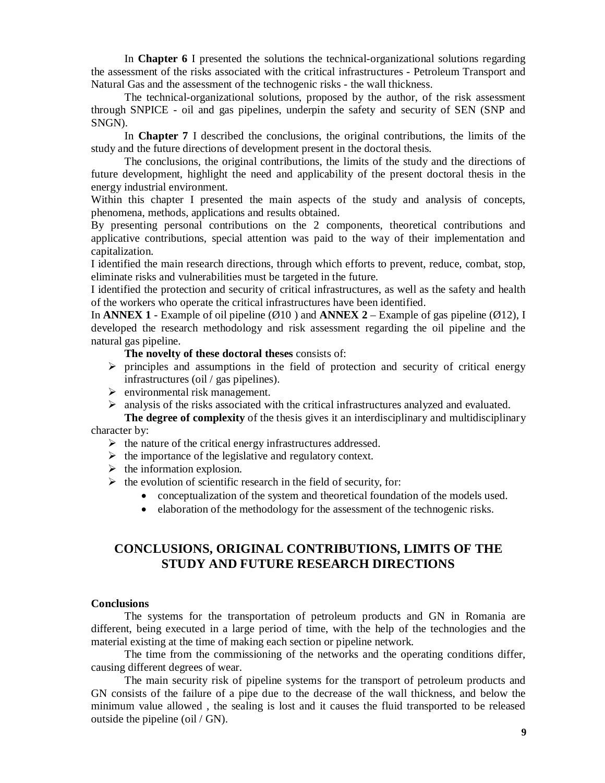In **Chapter 6** I presented the solutions the technical-organizational solutions regarding the assessment of the risks associated with the critical infrastructures - Petroleum Transport and Natural Gas and the assessment of the technogenic risks - the wall thickness.

The technical-organizational solutions, proposed by the author, of the risk assessment through SNPICE - oil and gas pipelines, underpin the safety and security of SEN (SNP and SNGN).

In **Chapter 7** I described the conclusions, the original contributions, the limits of the study and the future directions of development present in the doctoral thesis.

The conclusions, the original contributions, the limits of the study and the directions of future development, highlight the need and applicability of the present doctoral thesis in the energy industrial environment.

Within this chapter I presented the main aspects of the study and analysis of concepts, phenomena, methods, applications and results obtained.

By presenting personal contributions on the 2 components, theoretical contributions and applicative contributions, special attention was paid to the way of their implementation and capitalization.

I identified the main research directions, through which efforts to prevent, reduce, combat, stop, eliminate risks and vulnerabilities must be targeted in the future.

I identified the protection and security of critical infrastructures, as well as the safety and health of the workers who operate the critical infrastructures have been identified.

In **ANNEX 1** - Example of oil pipeline ( $\emptyset$ 10) and **ANNEX 2** – Example of gas pipeline ( $\emptyset$ 12), I developed the research methodology and risk assessment regarding the oil pipeline and the natural gas pipeline.

**The novelty of these doctoral theses** consists of:

- $\triangleright$  principles and assumptions in the field of protection and security of critical energy infrastructures (oil / gas pipelines).
- $\triangleright$  environmental risk management.

 $\triangleright$  analysis of the risks associated with the critical infrastructures analyzed and evaluated.

**The degree of complexity** of the thesis gives it an interdisciplinary and multidisciplinary character by:

- $\triangleright$  the nature of the critical energy infrastructures addressed.
- $\triangleright$  the importance of the legislative and regulatory context.
- $\triangleright$  the information explosion.
- $\triangleright$  the evolution of scientific research in the field of security, for:
	- conceptualization of the system and theoretical foundation of the models used.
	- elaboration of the methodology for the assessment of the technogenic risks.

## **CONCLUSIONS, ORIGINAL CONTRIBUTIONS, LIMITS OF THE STUDY AND FUTURE RESEARCH DIRECTIONS**

#### **Conclusions**

The systems for the transportation of petroleum products and GN in Romania are different, being executed in a large period of time, with the help of the technologies and the material existing at the time of making each section or pipeline network.

The time from the commissioning of the networks and the operating conditions differ, causing different degrees of wear.

The main security risk of pipeline systems for the transport of petroleum products and GN consists of the failure of a pipe due to the decrease of the wall thickness, and below the minimum value allowed , the sealing is lost and it causes the fluid transported to be released outside the pipeline (oil / GN).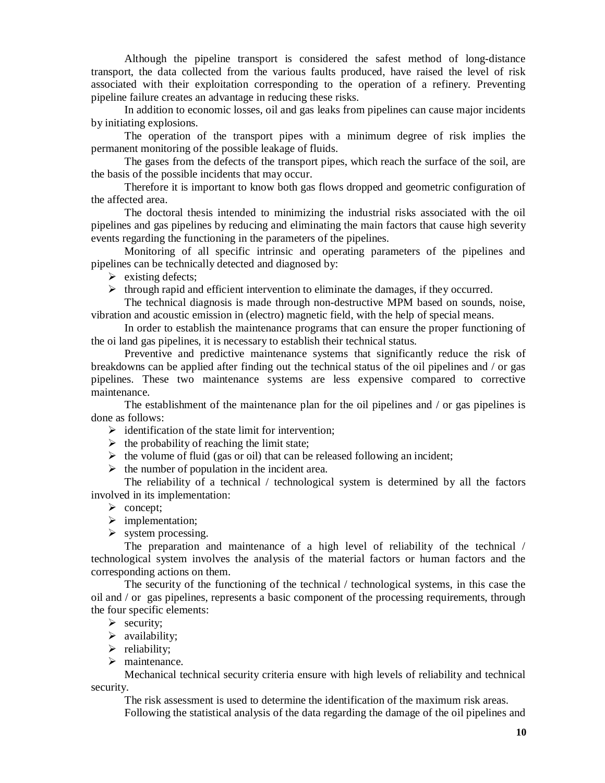Although the pipeline transport is considered the safest method of long-distance transport, the data collected from the various faults produced, have raised the level of risk associated with their exploitation corresponding to the operation of a refinery. Preventing pipeline failure creates an advantage in reducing these risks.

In addition to economic losses, oil and gas leaks from pipelines can cause major incidents by initiating explosions.

The operation of the transport pipes with a minimum degree of risk implies the permanent monitoring of the possible leakage of fluids.

The gases from the defects of the transport pipes, which reach the surface of the soil, are the basis of the possible incidents that may occur.

Therefore it is important to know both gas flows dropped and geometric configuration of the affected area.

The doctoral thesis intended to minimizing the industrial risks associated with the oil pipelines and gas pipelines by reducing and eliminating the main factors that cause high severity events regarding the functioning in the parameters of the pipelines.

Monitoring of all specific intrinsic and operating parameters of the pipelines and pipelines can be technically detected and diagnosed by:

 $\triangleright$  existing defects;

 $\triangleright$  through rapid and efficient intervention to eliminate the damages, if they occurred.

The technical diagnosis is made through non-destructive MPM based on sounds, noise, vibration and acoustic emission in (electro) magnetic field, with the help of special means.

In order to establish the maintenance programs that can ensure the proper functioning of the oi land gas pipelines, it is necessary to establish their technical status.

Preventive and predictive maintenance systems that significantly reduce the risk of breakdowns can be applied after finding out the technical status of the oil pipelines and / or gas pipelines. These two maintenance systems are less expensive compared to corrective maintenance.

The establishment of the maintenance plan for the oil pipelines and / or gas pipelines is done as follows:

 $\triangleright$  identification of the state limit for intervention;

- $\triangleright$  the probability of reaching the limit state;
- $\triangleright$  the volume of fluid (gas or oil) that can be released following an incident;
- $\triangleright$  the number of population in the incident area.

The reliability of a technical / technological system is determined by all the factors involved in its implementation:

- $\triangleright$  concept;
- $\triangleright$  implementation;
- $\triangleright$  system processing.

The preparation and maintenance of a high level of reliability of the technical / technological system involves the analysis of the material factors or human factors and the corresponding actions on them.

The security of the functioning of the technical / technological systems, in this case the oil and / or gas pipelines, represents a basic component of the processing requirements, through the four specific elements:

- $\triangleright$  security;
- $\blacktriangleright$  availability;
- $\triangleright$  reliability;
- > maintenance.

Mechanical technical security criteria ensure with high levels of reliability and technical security.

The risk assessment is used to determine the identification of the maximum risk areas. Following the statistical analysis of the data regarding the damage of the oil pipelines and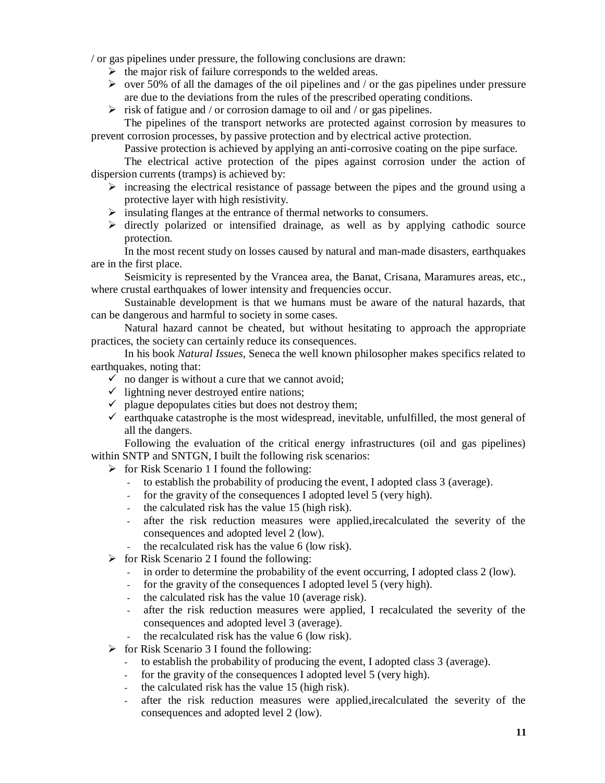/ or gas pipelines under pressure, the following conclusions are drawn:

- $\triangleright$  the major risk of failure corresponds to the welded areas.
- $\triangleright$  over 50% of all the damages of the oil pipelines and / or the gas pipelines under pressure are due to the deviations from the rules of the prescribed operating conditions.
- $\triangleright$  risk of fatigue and / or corrosion damage to oil and / or gas pipelines.

The pipelines of the transport networks are protected against corrosion by measures to prevent corrosion processes, by passive protection and by electrical active protection.

Passive protection is achieved by applying an anti-corrosive coating on the pipe surface.

The electrical active protection of the pipes against corrosion under the action of dispersion currents (tramps) is achieved by:

- $\triangleright$  increasing the electrical resistance of passage between the pipes and the ground using a protective layer with high resistivity.
- $\triangleright$  insulating flanges at the entrance of thermal networks to consumers.
- $\triangleright$  directly polarized or intensified drainage, as well as by applying cathodic source protection.

In the most recent study on losses caused by natural and man-made disasters, earthquakes are in the first place.

Seismicity is represented by the Vrancea area, the Banat, Crisana, Maramures areas, etc., where crustal earthquakes of lower intensity and frequencies occur.

Sustainable development is that we humans must be aware of the natural hazards, that can be dangerous and harmful to society in some cases.

Natural hazard cannot be cheated, but without hesitating to approach the appropriate practices, the society can certainly reduce its consequences.

In his book *Natural Issues*, Seneca the well known philosopher makes specifics related to earthquakes, noting that:

- $\checkmark$  no danger is without a cure that we cannot avoid;
- $\checkmark$  lightning never destroyed entire nations;
- $\checkmark$  plague depopulates cities but does not destroy them;
- $\checkmark$  earthquake catastrophe is the most widespread, inevitable, unfulfilled, the most general of all the dangers.

Following the evaluation of the critical energy infrastructures (oil and gas pipelines) within SNTP and SNTGN, I built the following risk scenarios:

- $\triangleright$  for Risk Scenario 1 I found the following:
	- to establish the probability of producing the event, I adopted class 3 (average).
	- for the gravity of the consequences I adopted level 5 (very high).
	- the calculated risk has the value 15 (high risk).
	- after the risk reduction measures were applied,irecalculated the severity of the consequences and adopted level 2 (low).
	- the recalculated risk has the value 6 (low risk).
- $\triangleright$  for Risk Scenario 2 I found the following:
	- in order to determine the probability of the event occurring, I adopted class 2 (low).
	- for the gravity of the consequences I adopted level 5 (very high).
	- the calculated risk has the value 10 (average risk).
	- after the risk reduction measures were applied, I recalculated the severity of the consequences and adopted level 3 (average).
	- the recalculated risk has the value 6 (low risk).
- $\triangleright$  for Risk Scenario 3 I found the following:
	- to establish the probability of producing the event, I adopted class 3 (average).
	- for the gravity of the consequences I adopted level 5 (very high).
	- the calculated risk has the value 15 (high risk).
	- after the risk reduction measures were applied,irecalculated the severity of the consequences and adopted level 2 (low).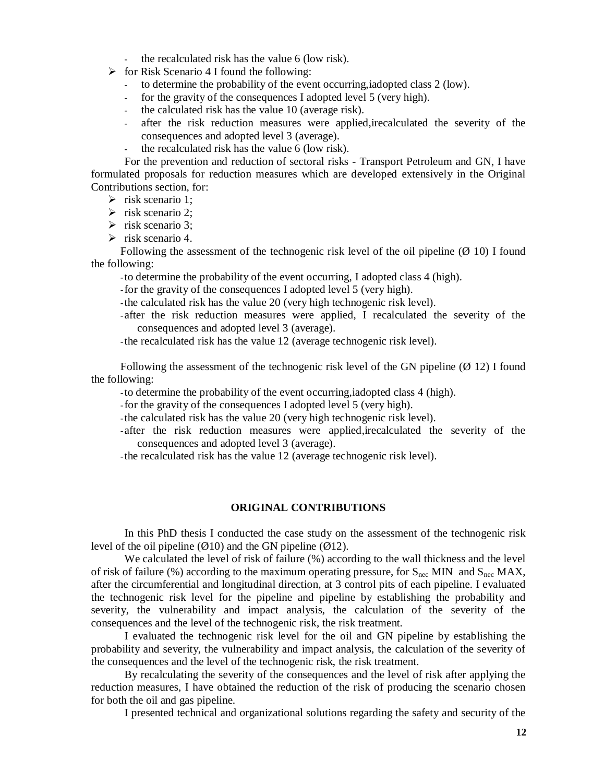- the recalculated risk has the value 6 (low risk).
- $\triangleright$  for Risk Scenario 4 I found the following:
	- to determine the probability of the event occurring,iadopted class 2 (low).
	- for the gravity of the consequences I adopted level 5 (very high).
	- the calculated risk has the value 10 (average risk).
	- after the risk reduction measures were applied,irecalculated the severity of the consequences and adopted level 3 (average).
	- the recalculated risk has the value 6 (low risk).

For the prevention and reduction of sectoral risks - Transport Petroleum and GN, I have formulated proposals for reduction measures which are developed extensively in the Original Contributions section, for:

- $\triangleright$  risk scenario 1:
- $\triangleright$  risk scenario 2;
- $\triangleright$  risk scenario 3;
- $\triangleright$  risk scenario 4.

Following the assessment of the technogenic risk level of the oil pipeline  $(\emptyset$  10) I found the following:

-to determine the probability of the event occurring, I adopted class 4 (high).

- -for the gravity of the consequences I adopted level 5 (very high).
- -the calculated risk has the value 20 (very high technogenic risk level).
- -after the risk reduction measures were applied, I recalculated the severity of the consequences and adopted level 3 (average).
- -the recalculated risk has the value 12 (average technogenic risk level).

Following the assessment of the technogenic risk level of the GN pipeline ( $\varnothing$  12) I found the following:

- -to determine the probability of the event occurring,iadopted class 4 (high).
- -for the gravity of the consequences I adopted level 5 (very high).
- -the calculated risk has the value 20 (very high technogenic risk level).
- -after the risk reduction measures were applied,irecalculated the severity of the consequences and adopted level 3 (average).
- -the recalculated risk has the value 12 (average technogenic risk level).

#### **ORIGINAL CONTRIBUTIONS**

In this PhD thesis I conducted the case study on the assessment of the technogenic risk level of the oil pipeline  $(\emptyset10)$  and the GN pipeline  $(\emptyset12)$ .

We calculated the level of risk of failure (%) according to the wall thickness and the level of risk of failure (%) according to the maximum operating pressure, for  $S_{\text{nec}}$  MIN and  $S_{\text{nec}}$  MAX, after the circumferential and longitudinal direction, at 3 control pits of each pipeline. I evaluated the technogenic risk level for the pipeline and pipeline by establishing the probability and severity, the vulnerability and impact analysis, the calculation of the severity of the consequences and the level of the technogenic risk, the risk treatment.

I evaluated the technogenic risk level for the oil and GN pipeline by establishing the probability and severity, the vulnerability and impact analysis, the calculation of the severity of the consequences and the level of the technogenic risk, the risk treatment.

By recalculating the severity of the consequences and the level of risk after applying the reduction measures, I have obtained the reduction of the risk of producing the scenario chosen for both the oil and gas pipeline.

I presented technical and organizational solutions regarding the safety and security of the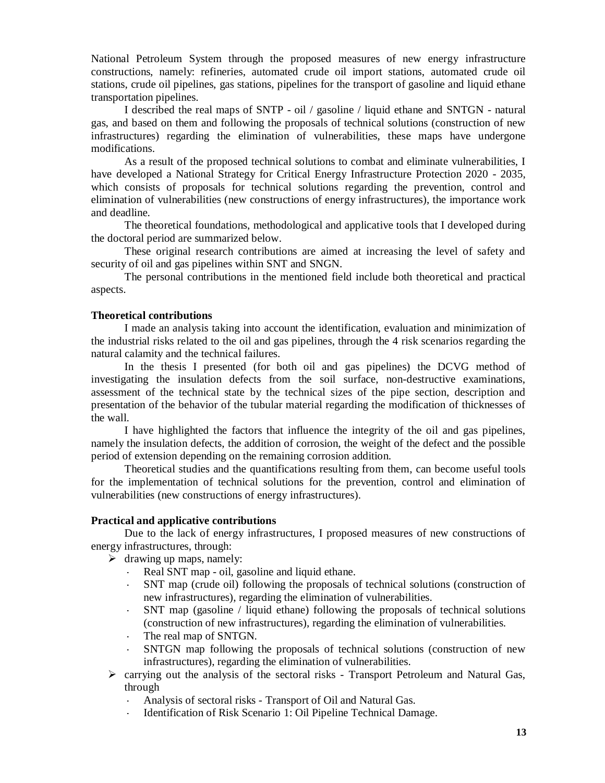National Petroleum System through the proposed measures of new energy infrastructure constructions, namely: refineries, automated crude oil import stations, automated crude oil stations, crude oil pipelines, gas stations, pipelines for the transport of gasoline and liquid ethane transportation pipelines.

I described the real maps of SNTP - oil / gasoline / liquid ethane and SNTGN - natural gas, and based on them and following the proposals of technical solutions (construction of new infrastructures) regarding the elimination of vulnerabilities, these maps have undergone modifications.

As a result of the proposed technical solutions to combat and eliminate vulnerabilities, I have developed a National Strategy for Critical Energy Infrastructure Protection 2020 - 2035, which consists of proposals for technical solutions regarding the prevention, control and elimination of vulnerabilities (new constructions of energy infrastructures), the importance work and deadline.

The theoretical foundations, methodological and applicative tools that I developed during the doctoral period are summarized below.

These original research contributions are aimed at increasing the level of safety and security of oil and gas pipelines within SNT and SNGN.

The personal contributions in the mentioned field include both theoretical and practical aspects.

#### **Theoretical contributions**

I made an analysis taking into account the identification, evaluation and minimization of the industrial risks related to the oil and gas pipelines, through the 4 risk scenarios regarding the natural calamity and the technical failures.

In the thesis I presented (for both oil and gas pipelines) the DCVG method of investigating the insulation defects from the soil surface, non-destructive examinations, assessment of the technical state by the technical sizes of the pipe section, description and presentation of the behavior of the tubular material regarding the modification of thicknesses of the wall.

I have highlighted the factors that influence the integrity of the oil and gas pipelines, namely the insulation defects, the addition of corrosion, the weight of the defect and the possible period of extension depending on the remaining corrosion addition.

Theoretical studies and the quantifications resulting from them, can become useful tools for the implementation of technical solutions for the prevention, control and elimination of vulnerabilities (new constructions of energy infrastructures).

#### **Practical and applicative contributions**

Due to the lack of energy infrastructures, I proposed measures of new constructions of energy infrastructures, through:

- $\triangleright$  drawing up maps, namely:
	- **-** Real SNT map oil, gasoline and liquid ethane.
	- **-** SNT map (crude oil) following the proposals of technical solutions (construction of new infrastructures), regarding the elimination of vulnerabilities.
	- **-** SNT map (gasoline / liquid ethane) following the proposals of technical solutions (construction of new infrastructures), regarding the elimination of vulnerabilities.
	- **-** The real map of SNTGN.
	- **-** SNTGN map following the proposals of technical solutions (construction of new infrastructures), regarding the elimination of vulnerabilities.
- $\triangleright$  carrying out the analysis of the sectoral risks Transport Petroleum and Natural Gas, through
	- **-** Analysis of sectoral risks Transport of Oil and Natural Gas.
	- **-** Identification of Risk Scenario 1: Oil Pipeline Technical Damage.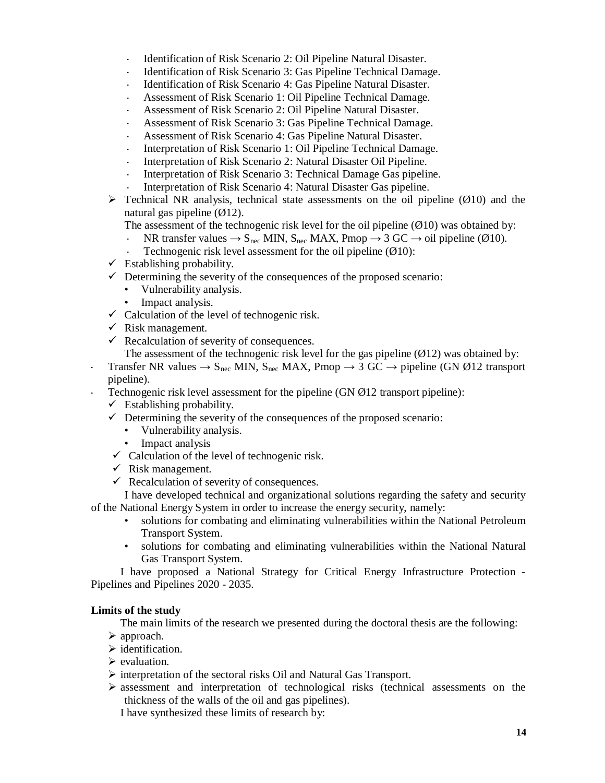- **-** Identification of Risk Scenario 2: Oil Pipeline Natural Disaster.
- **-** Identification of Risk Scenario 3: Gas Pipeline Technical Damage.
- **-** Identification of Risk Scenario 4: Gas Pipeline Natural Disaster.
- **-** Assessment of Risk Scenario 1: Oil Pipeline Technical Damage.
- **-** Assessment of Risk Scenario 2: Oil Pipeline Natural Disaster.
- **-** Assessment of Risk Scenario 3: Gas Pipeline Technical Damage.
- **-** Assessment of Risk Scenario 4: Gas Pipeline Natural Disaster.
- **-** Interpretation of Risk Scenario 1: Oil Pipeline Technical Damage.
- **-** Interpretation of Risk Scenario 2: Natural Disaster Oil Pipeline.
- **-** Interpretation of Risk Scenario 3: Technical Damage Gas pipeline.
- **-** Interpretation of Risk Scenario 4: Natural Disaster Gas pipeline.
- $\triangleright$  Technical NR analysis, technical state assessments on the oil pipeline ( $\emptyset$ 10) and the natural gas pipeline  $(\emptyset 12)$ .

The assessment of the technogenic risk level for the oil pipeline  $(\emptyset10)$  was obtained by:

- NR transfer values  $\rightarrow$  S<sub>nec</sub> MIN, S<sub>nec</sub> MAX, Pmop  $\rightarrow$  3 GC  $\rightarrow$  oil pipeline (Ø10).
- **-** Technogenic risk level assessment for the oil pipeline (Ø10):
- $\checkmark$  Establishing probability.
- $\checkmark$  Determining the severity of the consequences of the proposed scenario:
	- Vulnerability analysis.
	- Impact analysis.
- $\checkmark$  Calculation of the level of technogenic risk.
- $\checkmark$  Risk management.
- $\checkmark$  Recalculation of severity of consequences.

The assessment of the technogenic risk level for the gas pipeline  $(Ø12)$  was obtained by:

- **-** Transfer NR values  $\rightarrow$  S<sub>nec</sub> MIN, S<sub>nec</sub> MAX, Pmop  $\rightarrow$  3 GC  $\rightarrow$  pipeline (GN Ø12 transport pipeline).
- **-** Technogenic risk level assessment for the pipeline (GN Ø12 transport pipeline):
	- $\checkmark$  Establishing probability.
	- $\checkmark$  Determining the severity of the consequences of the proposed scenario:
		- Vulnerability analysis.
		- Impact analysis
	- $\checkmark$  Calculation of the level of technogenic risk.
	- $\checkmark$  Risk management.
	- $\checkmark$  Recalculation of severity of consequences.

I have developed technical and organizational solutions regarding the safety and security of the National Energy System in order to increase the energy security, namely:

- solutions for combating and eliminating vulnerabilities within the National Petroleum Transport System.
- solutions for combating and eliminating vulnerabilities within the National Natural Gas Transport System.

I have proposed a National Strategy for Critical Energy Infrastructure Protection - Pipelines and Pipelines 2020 - 2035.

#### **Limits of the study**

The main limits of the research we presented during the doctoral thesis are the following:

- $\triangleright$  approach.
- $\triangleright$  identification.
- $\triangleright$  evaluation.
- $\triangleright$  interpretation of the sectoral risks Oil and Natural Gas Transport.
- $\triangleright$  assessment and interpretation of technological risks (technical assessments on the thickness of the walls of the oil and gas pipelines).

I have synthesized these limits of research by: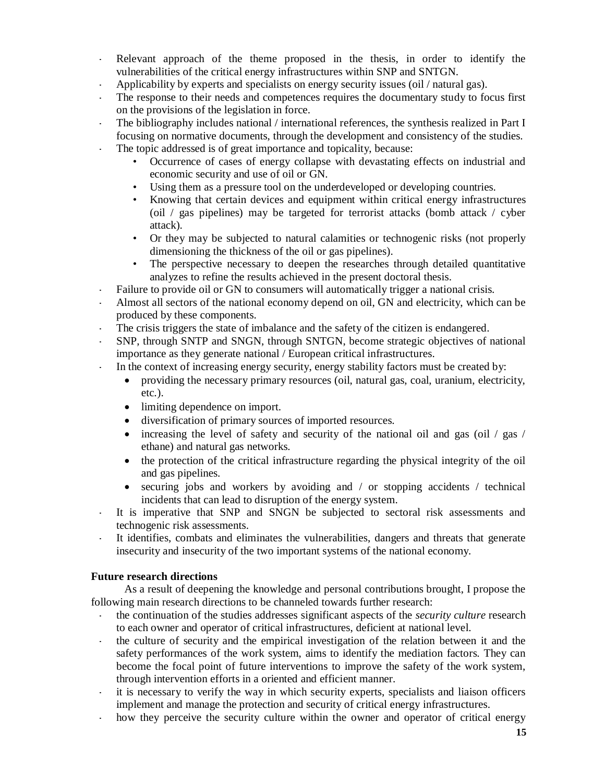- **-** Relevant approach of the theme proposed in the thesis, in order to identify the vulnerabilities of the critical energy infrastructures within SNP and SNTGN.
- **-** Applicability by experts and specialists on energy security issues (oil / natural gas).
- **-** The response to their needs and competences requires the documentary study to focus first on the provisions of the legislation in force.
- **-** The bibliography includes national / international references, the synthesis realized in Part I focusing on normative documents, through the development and consistency of the studies.
- The topic addressed is of great importance and topicality, because:
	- Occurrence of cases of energy collapse with devastating effects on industrial and economic security and use of oil or GN.
	- Using them as a pressure tool on the underdeveloped or developing countries.
	- Knowing that certain devices and equipment within critical energy infrastructures (oil / gas pipelines) may be targeted for terrorist attacks (bomb attack / cyber attack).
	- Or they may be subjected to natural calamities or technogenic risks (not properly dimensioning the thickness of the oil or gas pipelines).
	- The perspective necessary to deepen the researches through detailed quantitative analyzes to refine the results achieved in the present doctoral thesis.
- **-** Failure to provide oil or GN to consumers will automatically trigger a national crisis.
- **-** Almost all sectors of the national economy depend on oil, GN and electricity, which can be produced by these components.
- **-** The crisis triggers the state of imbalance and the safety of the citizen is endangered.
- **-** SNP, through SNTP and SNGN, through SNTGN, become strategic objectives of national importance as they generate national / European critical infrastructures.
- **-** In the context of increasing energy security, energy stability factors must be created by:
	- providing the necessary primary resources (oil, natural gas, coal, uranium, electricity, etc.).
	- limiting dependence on import.
	- diversification of primary sources of imported resources.
	- increasing the level of safety and security of the national oil and gas (oil  $\frac{1}{2}$  gas  $\frac{1}{2}$ ) ethane) and natural gas networks.
	- the protection of the critical infrastructure regarding the physical integrity of the oil and gas pipelines.
	- $\bullet$  securing jobs and workers by avoiding and / or stopping accidents / technical incidents that can lead to disruption of the energy system.
- **-** It is imperative that SNP and SNGN be subjected to sectoral risk assessments and technogenic risk assessments.
- **-** It identifies, combats and eliminates the vulnerabilities, dangers and threats that generate insecurity and insecurity of the two important systems of the national economy.

#### **Future research directions**

As a result of deepening the knowledge and personal contributions brought, I propose the following main research directions to be channeled towards further research:

- **-** the continuation of the studies addresses significant aspects of the *security culture* research to each owner and operator of critical infrastructures, deficient at national level.
- **-** the culture of security and the empirical investigation of the relation between it and the safety performances of the work system, aims to identify the mediation factors. They can become the focal point of future interventions to improve the safety of the work system, through intervention efforts in a oriented and efficient manner.
- **-** it is necessary to verify the way in which security experts, specialists and liaison officers implement and manage the protection and security of critical energy infrastructures.
- how they perceive the security culture within the owner and operator of critical energy